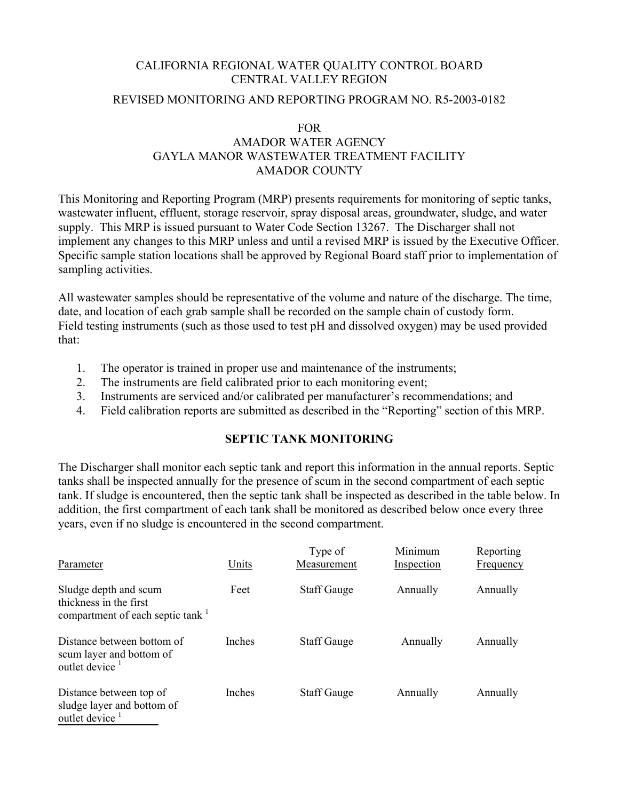## CALIFORNIA REGIONAL WATER QUALITY CONTROL BOARD CENTRAL VALLEY REGION

# REVISED MONITORING AND REPORTING PROGRAM NO. R5-2003-0182

### FOR

# AMADOR WATER AGENCY GAYLA MANOR WASTEWATER TREATMENT FACILITY AMADOR COUNTY

This Monitoring and Reporting Program (MRP) presents requirements for monitoring of septic tanks, wastewater influent, effluent, storage reservoir, spray disposal areas, groundwater, sludge, and water supply. This MRP is issued pursuant to Water Code Section 13267. The Discharger shall not implement any changes to this MRP unless and until a revised MRP is issued by the Executive Officer. Specific sample station locations shall be approved by Regional Board staff prior to implementation of sampling activities.

All wastewater samples should be representative of the volume and nature of the discharge. The time, date, and location of each grab sample shall be recorded on the sample chain of custody form. Field testing instruments (such as those used to test pH and dissolved oxygen) may be used provided that:

- 1. The operator is trained in proper use and maintenance of the instruments;
- 2. The instruments are field calibrated prior to each monitoring event;
- 3. Instruments are serviced and/or calibrated per manufacturer's recommendations; and
- 4. Field calibration reports are submitted as described in the "Reporting" section of this MRP.

# **SEPTIC TANK MONITORING**

The Discharger shall monitor each septic tank and report this information in the annual reports. Septic tanks shall be inspected annually for the presence of scum in the second compartment of each septic tank. If sludge is encountered, then the septic tank shall be inspected as described in the table below. In addition, the first compartment of each tank shall be monitored as described below once every three years, even if no sludge is encountered in the second compartment.

| Parameter                                                                                       | Units         | Type of<br>Measurement | Minimum<br>Inspection | Reporting<br>Frequency |
|-------------------------------------------------------------------------------------------------|---------------|------------------------|-----------------------|------------------------|
| Sludge depth and scum<br>thickness in the first<br>compartment of each septic tank <sup>1</sup> | Feet          | <b>Staff Gauge</b>     | Annually              | Annually               |
| Distance between bottom of<br>scum layer and bottom of<br>outlet device $1$                     | <b>Inches</b> | <b>Staff Gauge</b>     | Annually              | Annually               |
| Distance between top of<br>sludge layer and bottom of<br>outlet device <sup>1</sup>             | Inches        | <b>Staff Gauge</b>     | Annually              | Annually               |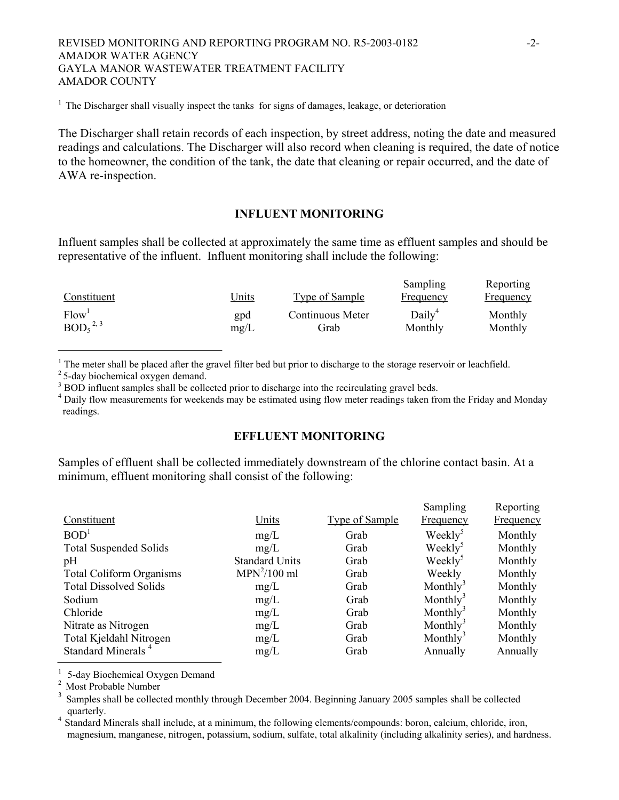### REVISED MONITORING AND REPORTING PROGRAM NO. R5-2003-0182 -2- AMADOR WATER AGENCY GAYLA MANOR WASTEWATER TREATMENT FACILITY AMADOR COUNTY

<sup>1</sup> The Discharger shall visually inspect the tanks for signs of damages, leakage, or deterioration

The Discharger shall retain records of each inspection, by street address, noting the date and measured readings and calculations. The Discharger will also record when cleaning is required, the date of notice to the homeowner, the condition of the tank, the date that cleaning or repair occurred, and the date of AWA re-inspection.

### **INFLUENT MONITORING**

Influent samples shall be collected at approximately the same time as effluent samples and should be representative of the influent. Influent monitoring shall include the following:

| Constituent                      | <u>Units</u> | Type of Sample   | Sampling<br><b>Frequency</b> | Reporting<br><u>Frequency</u> |
|----------------------------------|--------------|------------------|------------------------------|-------------------------------|
| Flow <sup>1</sup>                | gpd          | Continuous Meter | Daily <sup>4</sup>           | Monthly                       |
| BOD <sub>5</sub> <sup>2, 3</sup> | mg/L         | Grab             | Monthly                      | Monthly                       |

<sup>1</sup> The meter shall be placed after the gravel filter bed but prior to discharge to the storage reservoir or leachfield.  $2^2$  5-day biochemical oxygen demand.

 $3$  BOD influent samples shall be collected prior to discharge into the recirculating gravel beds.<br> $4$  Deily flow measurements for weakends may be estimated using flow meter readings telen from

<sup>4</sup> Daily flow measurements for weekends may be estimated using flow meter readings taken from the Friday and Monday readings.

# **EFFLUENT MONITORING**

Samples of effluent shall be collected immediately downstream of the chlorine contact basin. At a minimum, effluent monitoring shall consist of the following:

|                       |                       | Sampling             | Reporting |
|-----------------------|-----------------------|----------------------|-----------|
| Units                 | <b>Type of Sample</b> | <b>Frequency</b>     | Frequency |
| mg/L                  | Grab                  | Weekly <sup>5</sup>  | Monthly   |
| mg/L                  | Grab                  | Weekly <sup>5</sup>  | Monthly   |
| <b>Standard Units</b> | Grab                  | Weekly <sup>3</sup>  | Monthly   |
| $MPN2/100$ ml         | Grab                  | Weekly               | Monthly   |
| mg/L                  | Grab                  | Monthly <sup>3</sup> | Monthly   |
| mg/L                  | Grab                  | Monthly <sup>3</sup> | Monthly   |
| mg/L                  | Grab                  | Monthly <sup>3</sup> | Monthly   |
| mg/L                  | Grab                  | Monthly <sup>3</sup> | Monthly   |
| mg/L                  | Grab                  | Monthly <sup>3</sup> | Monthly   |
| mg/L                  | Grab                  | Annually             | Annually  |
|                       |                       |                      |           |

<sup>1</sup> 5-day Biochemical Oxygen Demand  $\frac{2}{3}$  Most Probable Number

<sup>3</sup> Samples shall be collected monthly through December 2004. Beginning January 2005 samples shall be collected quarterly.<br><sup>4</sup> Standard Minerals shall include, at a minimum, the following elements/compounds: boron, calcium, chloride, iron,

magnesium, manganese, nitrogen, potassium, sodium, sulfate, total alkalinity (including alkalinity series), and hardness.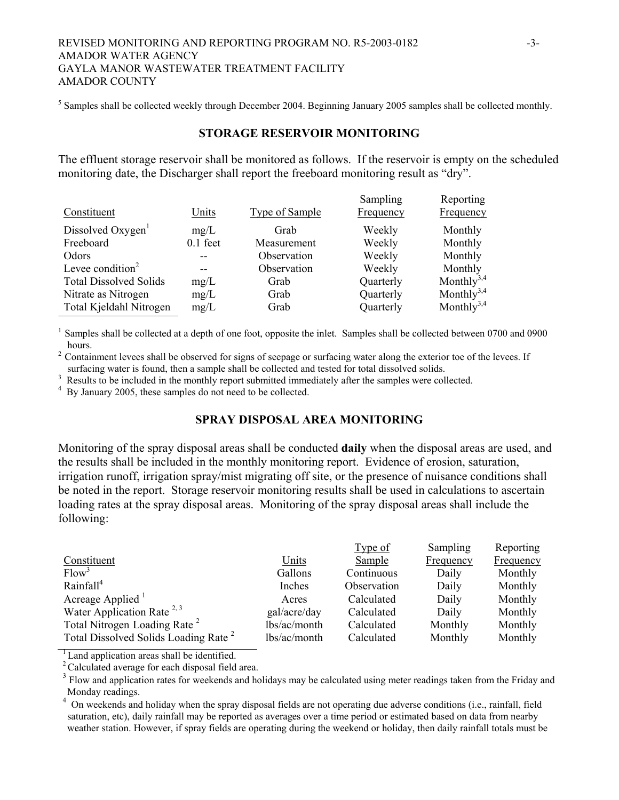### REVISED MONITORING AND REPORTING PROGRAM NO. R5-2003-0182 -3-AMADOR WATER AGENCY GAYLA MANOR WASTEWATER TREATMENT FACILITY AMADOR COUNTY

 $<sup>5</sup>$  Samples shall be collected weekly through December 2004. Beginning January 2005 samples shall be collected monthly.</sup>

## **STORAGE RESERVOIR MONITORING**

The effluent storage reservoir shall be monitored as follows. If the reservoir is empty on the scheduled monitoring date, the Discharger shall report the freeboard monitoring result as "dry".

| Constituent                   | Units      | <b>Type of Sample</b> | Sampling<br>Frequency | Reporting<br>Frequency |
|-------------------------------|------------|-----------------------|-----------------------|------------------------|
| Dissolved Oxygen              | mg/L       | Grab                  | Weekly                | Monthly                |
| Freeboard                     | $0.1$ feet | Measurement           | Weekly                | Monthly                |
| Odors                         |            | Observation           | Weekly                | Monthly                |
| Levee condition $2$           |            | Observation           | Weekly                | Monthly                |
| <b>Total Dissolved Solids</b> | mg/L       | Grab                  | Quarterly             | Monthly <sup>3,4</sup> |
| Nitrate as Nitrogen           | mg/L       | Grab                  | Quarterly             | Monthly <sup>3,4</sup> |
| Total Kjeldahl Nitrogen       | mg/L       | Grab                  | Quarterly             | Monthly <sup>3,4</sup> |

1 Samples shall be collected at a depth of one foot, opposite the inlet. Samples shall be collected between 0700 and 0900 hours.<br><sup>2</sup> Containment levees shall be observed for signs of seepage or surfacing water along the exterior toe of the levees. If

surfacing water is found, then a sample shall be collected and tested for total dissolved solids.

<sup>3</sup> Results to be included in the monthly report submitted immediately after the samples were collected.

<sup>4</sup> By January 2005, these samples do not need to be collected.

## **SPRAY DISPOSAL AREA MONITORING**

Monitoring of the spray disposal areas shall be conducted **daily** when the disposal areas are used, and the results shall be included in the monthly monitoring report. Evidence of erosion, saturation, irrigation runoff, irrigation spray/mist migrating off site, or the presence of nuisance conditions shall be noted in the report. Storage reservoir monitoring results shall be used in calculations to ascertain loading rates at the spray disposal areas. Monitoring of the spray disposal areas shall include the following:

|                                                  |              | Type of     | Sampling  | Reporting |
|--------------------------------------------------|--------------|-------------|-----------|-----------|
| Constituent                                      | Units        | Sample      | Frequency | Frequency |
| Flow <sup>3</sup>                                | Gallons      | Continuous  | Daily     | Monthly   |
| Rainfall <sup>4</sup>                            | Inches       | Observation | Daily     | Monthly   |
| Acreage Applied <sup>1</sup>                     | Acres        | Calculated  | Daily     | Monthly   |
| Water Application Rate $^{2,3}$                  | gal/acre/day | Calculated  | Daily     | Monthly   |
| Total Nitrogen Loading Rate <sup>2</sup>         | lbs/ac/month | Calculated  | Monthly   | Monthly   |
| Total Dissolved Solids Loading Rate <sup>2</sup> | lbs/ac/month | Calculated  | Monthly   | Monthly   |
|                                                  |              |             |           |           |

<sup>1</sup> Land application areas shall be identified.

<sup>2</sup> Calculated average for each disposal field area.

<sup>3</sup> Flow and application rates for weekends and holidays may be calculated using meter readings taken from the Friday and Monday readings.

<sup>4</sup> On weekends and holiday when the spray disposal fields are not operating due adverse conditions (i.e., rainfall, field saturation, etc), daily rainfall may be reported as averages over a time period or estimated based on data from nearby weather station. However, if spray fields are operating during the weekend or holiday, then daily rainfall totals must be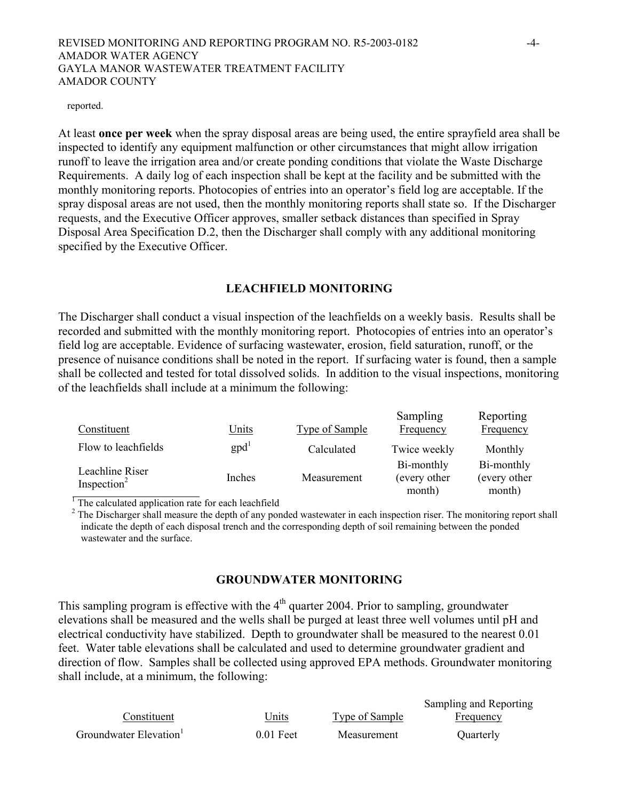### REVISED MONITORING AND REPORTING PROGRAM NO. R5-2003-0182 -4- AMADOR WATER AGENCY GAYLA MANOR WASTEWATER TREATMENT FACILITY AMADOR COUNTY

#### reported.

At least **once per week** when the spray disposal areas are being used, the entire sprayfield area shall be inspected to identify any equipment malfunction or other circumstances that might allow irrigation runoff to leave the irrigation area and/or create ponding conditions that violate the Waste Discharge Requirements. A daily log of each inspection shall be kept at the facility and be submitted with the monthly monitoring reports. Photocopies of entries into an operator's field log are acceptable. If the spray disposal areas are not used, then the monthly monitoring reports shall state so. If the Discharger requests, and the Executive Officer approves, smaller setback distances than specified in Spray Disposal Area Specification D.2, then the Discharger shall comply with any additional monitoring specified by the Executive Officer.

### **LEACHFIELD MONITORING**

The Discharger shall conduct a visual inspection of the leachfields on a weekly basis. Results shall be recorded and submitted with the monthly monitoring report. Photocopies of entries into an operator's field log are acceptable. Evidence of surfacing wastewater, erosion, field saturation, runoff, or the presence of nuisance conditions shall be noted in the report. If surfacing water is found, then a sample shall be collected and tested for total dissolved solids. In addition to the visual inspections, monitoring of the leachfields shall include at a minimum the following:

| Constituent                                | <u>Units</u>   | <b>Type of Sample</b> | Sampling<br>Frequency                 | Reporting<br>Frequency               |
|--------------------------------------------|----------------|-----------------------|---------------------------------------|--------------------------------------|
| Flow to leachfields                        | $\text{gpd}^1$ | Calculated            | Twice weekly                          | Monthly                              |
| Leachline Riser<br>Inspection <sup>2</sup> | Inches         | Measurement           | Bi-monthly<br>(every other)<br>month) | Bi-monthly<br>(every other<br>month) |

 $\frac{1}{1}$  The calculated application rate for each leachfield month) month

 $2^2$  The Discharger shall measure the depth of any ponded wastewater in each inspection riser. The monitoring report shall indicate the depth of each disposal trench and the corresponding depth of soil remaining between the ponded wastewater and the surface.

### **GROUNDWATER MONITORING**

This sampling program is effective with the  $4<sup>th</sup>$  quarter 2004. Prior to sampling, groundwater elevations shall be measured and the wells shall be purged at least three well volumes until pH and electrical conductivity have stabilized. Depth to groundwater shall be measured to the nearest 0.01 feet. Water table elevations shall be calculated and used to determine groundwater gradient and direction of flow. Samples shall be collected using approved EPA methods. Groundwater monitoring shall include, at a minimum, the following:

| Constituent           | Jnits       | Type of Sample | $\mu$ of $\mu$ and $\mu$ $\mu$ $\mu$ $\mu$ $\mu$<br>Frequency |
|-----------------------|-------------|----------------|---------------------------------------------------------------|
| Groundwater Elevation | $0.01$ Feet | Measurement    | <b>Ouarterly</b>                                              |

Sampling and Reporting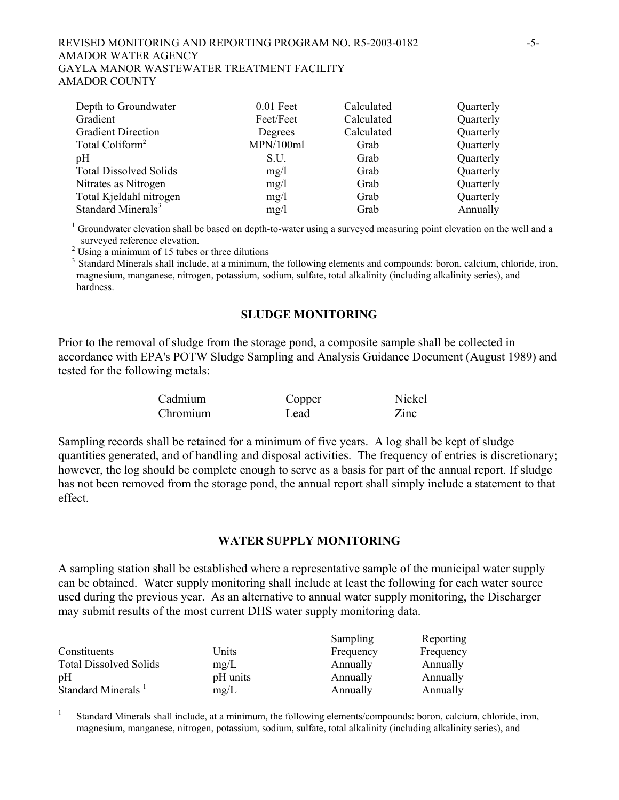### REVISED MONITORING AND REPORTING PROGRAM NO. R5-2003-0182 -5- AMADOR WATER AGENCY GAYLA MANOR WASTEWATER TREATMENT FACILITY AMADOR COUNTY

| Depth to Groundwater           | $0.01$ Feet | Calculated | Quarterly |
|--------------------------------|-------------|------------|-----------|
| Gradient                       | Feet/Feet   | Calculated | Quarterly |
| <b>Gradient Direction</b>      | Degrees     | Calculated | Quarterly |
| Total Coliform <sup>2</sup>    | MPN/100ml   | Grab       | Quarterly |
| pH                             | S.U.        | Grab       | Quarterly |
| <b>Total Dissolved Solids</b>  | mg/l        | Grab       | Quarterly |
| Nitrates as Nitrogen           | mg/l        | Grab       | Quarterly |
| Total Kjeldahl nitrogen        | mg/l        | Grab       | Quarterly |
| Standard Minerals <sup>3</sup> | mg/1        | Grab       | Annually  |

 $1$  Groundwater elevation shall be based on depth-to-water using a surveyed measuring point elevation on the well and a surveyed reference elevation.<br><sup>2</sup> Using a minimum of 15 tubes or three dilutions

<sup>3</sup> Standard Minerals shall include, at a minimum, the following elements and compounds: boron, calcium, chloride, iron, magnesium, manganese, nitrogen, potassium, sodium, sulfate, total alkalinity (including alkalinity series), and hardness.

### **SLUDGE MONITORING**

Prior to the removal of sludge from the storage pond, a composite sample shall be collected in accordance with EPA's POTW Sludge Sampling and Analysis Guidance Document (August 1989) and tested for the following metals:

| Cadmium  | Copper | Nickel |
|----------|--------|--------|
| Chromium | Lead   | Zinc   |

Sampling records shall be retained for a minimum of five years. A log shall be kept of sludge quantities generated, and of handling and disposal activities. The frequency of entries is discretionary; however, the log should be complete enough to serve as a basis for part of the annual report. If sludge has not been removed from the storage pond, the annual report shall simply include a statement to that effect.

### **WATER SUPPLY MONITORING**

A sampling station shall be established where a representative sample of the municipal water supply can be obtained. Water supply monitoring shall include at least the following for each water source used during the previous year. As an alternative to annual water supply monitoring, the Discharger may submit results of the most current DHS water supply monitoring data.

|                                |              | Sampling  | Reporting        |
|--------------------------------|--------------|-----------|------------------|
| Constituents                   | <u>Units</u> | Frequency | <b>Frequency</b> |
| <b>Total Dissolved Solids</b>  | mg/L         | Annually  | Annually         |
| pH                             | pH units     | Annually  | Annually         |
| Standard Minerals <sup>1</sup> | mg/L         | Annually  | Annually         |
|                                |              |           |                  |

<sup>1</sup> Standard Minerals shall include, at a minimum, the following elements/compounds: boron, calcium, chloride, iron, magnesium, manganese, nitrogen, potassium, sodium, sulfate, total alkalinity (including alkalinity series), and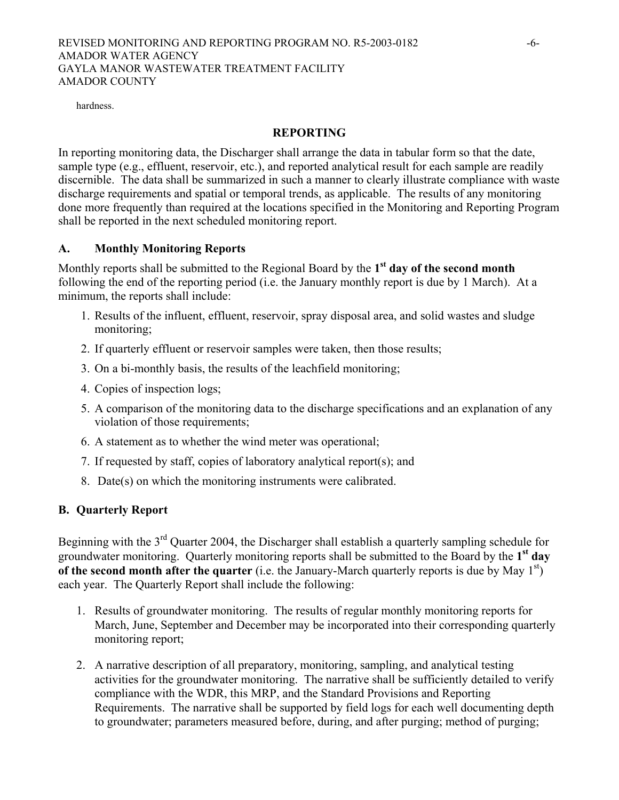### REVISED MONITORING AND REPORTING PROGRAM NO. R5-2003-0182 -6- AMADOR WATER AGENCY GAYLA MANOR WASTEWATER TREATMENT FACILITY AMADOR COUNTY

hardness.

## **REPORTING**

In reporting monitoring data, the Discharger shall arrange the data in tabular form so that the date, sample type (e.g., effluent, reservoir, etc.), and reported analytical result for each sample are readily discernible. The data shall be summarized in such a manner to clearly illustrate compliance with waste discharge requirements and spatial or temporal trends, as applicable. The results of any monitoring done more frequently than required at the locations specified in the Monitoring and Reporting Program shall be reported in the next scheduled monitoring report.

# **A. Monthly Monitoring Reports**

Monthly reports shall be submitted to the Regional Board by the **1st day of the second month** following the end of the reporting period (i.e. the January monthly report is due by 1 March). At a minimum, the reports shall include:

- 1. Results of the influent, effluent, reservoir, spray disposal area, and solid wastes and sludge monitoring;
- 2. If quarterly effluent or reservoir samples were taken, then those results;
- 3. On a bi-monthly basis, the results of the leachfield monitoring;
- 4. Copies of inspection logs;
- 5. A comparison of the monitoring data to the discharge specifications and an explanation of any violation of those requirements;
- 6. A statement as to whether the wind meter was operational;
- 7. If requested by staff, copies of laboratory analytical report(s); and
- 8. Date(s) on which the monitoring instruments were calibrated.

# **B. Quarterly Report**

Beginning with the 3<sup>rd</sup> Quarter 2004, the Discharger shall establish a quarterly sampling schedule for groundwater monitoring. Quarterly monitoring reports shall be submitted to the Board by the **1st day of the second month after the quarter** (i.e. the January-March quarterly reports is due by May 1<sup>st</sup>) each year. The Quarterly Report shall include the following:

- 1. Results of groundwater monitoring. The results of regular monthly monitoring reports for March, June, September and December may be incorporated into their corresponding quarterly monitoring report;
- 2. A narrative description of all preparatory, monitoring, sampling, and analytical testing activities for the groundwater monitoring. The narrative shall be sufficiently detailed to verify compliance with the WDR, this MRP, and the Standard Provisions and Reporting Requirements. The narrative shall be supported by field logs for each well documenting depth to groundwater; parameters measured before, during, and after purging; method of purging;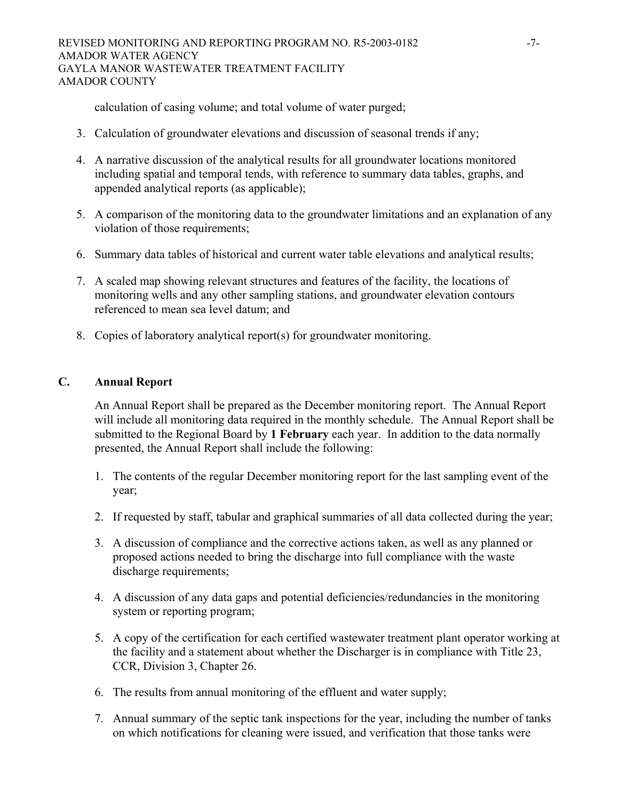calculation of casing volume; and total volume of water purged;

- 3. Calculation of groundwater elevations and discussion of seasonal trends if any;
- 4. A narrative discussion of the analytical results for all groundwater locations monitored including spatial and temporal tends, with reference to summary data tables, graphs, and appended analytical reports (as applicable);
- 5. A comparison of the monitoring data to the groundwater limitations and an explanation of any violation of those requirements;
- 6. Summary data tables of historical and current water table elevations and analytical results;
- 7. A scaled map showing relevant structures and features of the facility, the locations of monitoring wells and any other sampling stations, and groundwater elevation contours referenced to mean sea level datum; and
- 8. Copies of laboratory analytical report(s) for groundwater monitoring.

# **C. Annual Report**

An Annual Report shall be prepared as the December monitoring report. The Annual Report will include all monitoring data required in the monthly schedule. The Annual Report shall be submitted to the Regional Board by **1 February** each year. In addition to the data normally presented, the Annual Report shall include the following:

- 1. The contents of the regular December monitoring report for the last sampling event of the year;
- 2. If requested by staff, tabular and graphical summaries of all data collected during the year;
- 3. A discussion of compliance and the corrective actions taken, as well as any planned or proposed actions needed to bring the discharge into full compliance with the waste discharge requirements;
- 4. A discussion of any data gaps and potential deficiencies/redundancies in the monitoring system or reporting program;
- 5. A copy of the certification for each certified wastewater treatment plant operator working at the facility and a statement about whether the Discharger is in compliance with Title 23, CCR, Division 3, Chapter 26.
- 6. The results from annual monitoring of the effluent and water supply;
- 7. Annual summary of the septic tank inspections for the year, including the number of tanks on which notifications for cleaning were issued, and verification that those tanks were